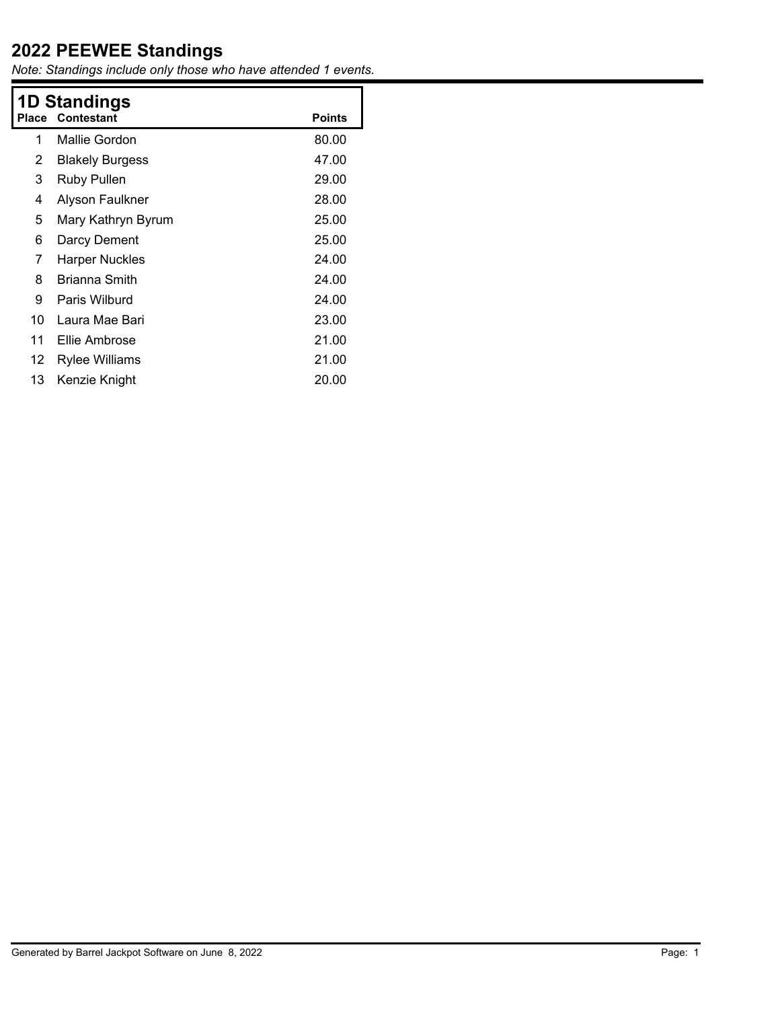*Note: Standings include only those who have attended 1 events.*

| Place | 1D Standings<br>Contestant | <b>Points</b> |
|-------|----------------------------|---------------|
| 1     | Mallie Gordon              | 80.00         |
| 2     | <b>Blakely Burgess</b>     | 47.00         |
| 3     | Ruby Pullen                | 29.00         |
| 4     | Alyson Faulkner            | 28.00         |
| 5     | Mary Kathryn Byrum         | 25.00         |
| 6     | Darcy Dement               | 25.00         |
| 7     | <b>Harper Nuckles</b>      | 24.00         |
| 8     | Brianna Smith              | 24.00         |
| 9     | Paris Wilburd              | 24.00         |
| 10    | Laura Mae Bari             | 23.00         |
| 11    | Ellie Ambrose              | 21.00         |
| 12    | Rylee Williams             | 21.00         |
| 13    | Kenzie Knight              | 20.00         |
|       |                            |               |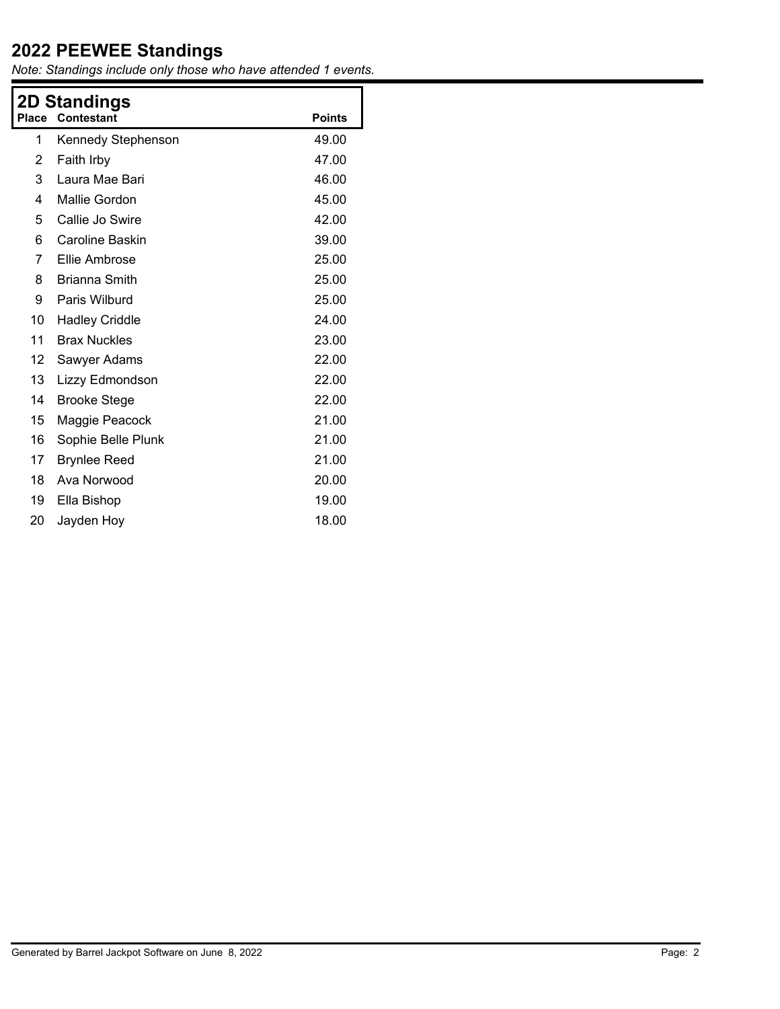*Note: Standings include only those who have attended 1 events.*

| Place | 2D Standings<br><b>Contestant</b> | <b>Points</b> |  |  |
|-------|-----------------------------------|---------------|--|--|
|       |                                   |               |  |  |
| 1     | Kennedy Stephenson                | 49.00         |  |  |
| 2     | Faith Irby                        | 47.00         |  |  |
| 3     | Laura Mae Bari                    | 46.00         |  |  |
| 4     | Mallie Gordon                     | 45.00         |  |  |
| 5     | Callie Jo Swire                   | 42.00         |  |  |
| 6     | Caroline Baskin                   | 39.00         |  |  |
| 7     | Ellie Ambrose                     | 25.00         |  |  |
| 8     | <b>Brianna Smith</b>              | 25.00         |  |  |
| 9     | Paris Wilburd                     | 25.00         |  |  |
| 10    | <b>Hadley Criddle</b>             | 24.00         |  |  |
| 11    | <b>Brax Nuckles</b>               | 23.00         |  |  |
| 12    | Sawyer Adams                      | 22.00         |  |  |
| 13    | Lizzy Edmondson                   | 22.00         |  |  |
| 14    | <b>Brooke Stege</b>               | 22.00         |  |  |
| 15    | Maggie Peacock                    | 21.00         |  |  |
| 16    | Sophie Belle Plunk                | 21.00         |  |  |
| 17    | <b>Brynlee Reed</b>               | 21.00         |  |  |
| 18    | Ava Norwood                       | 20.00         |  |  |
| 19    | Ella Bishop                       | 19.00         |  |  |
| 20    | Jayden Hoy                        | 18.00         |  |  |
|       |                                   |               |  |  |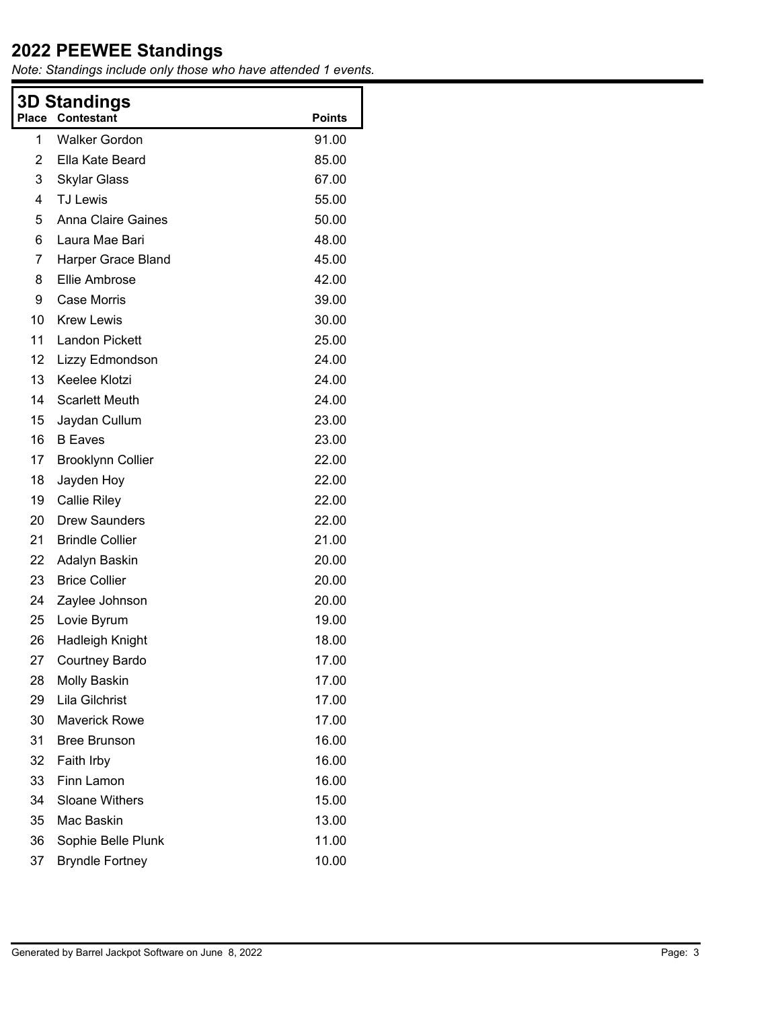*Note: Standings include only those who have attended 1 events.*

| 3D Standings   |                           |               |  |  |
|----------------|---------------------------|---------------|--|--|
| Place          | <b>Contestant</b>         | <b>Points</b> |  |  |
| $\mathbf{1}$   | <b>Walker Gordon</b>      | 91.00         |  |  |
| $\overline{2}$ | Ella Kate Beard           | 85.00         |  |  |
| 3              | <b>Skylar Glass</b>       | 67.00         |  |  |
| 4              | <b>TJ Lewis</b>           | 55.00         |  |  |
| 5              | <b>Anna Claire Gaines</b> | 50.00         |  |  |
| 6              | Laura Mae Bari            | 48.00         |  |  |
| 7              | Harper Grace Bland        | 45.00         |  |  |
| 8              | Ellie Ambrose             | 42.00         |  |  |
| 9              | <b>Case Morris</b>        | 39.00         |  |  |
| 10             | Krew Lewis                | 30.00         |  |  |
| 11             | <b>Landon Pickett</b>     | 25.00         |  |  |
| 12             | Lizzy Edmondson           | 24.00         |  |  |
| 13             | Keelee Klotzi             | 24.00         |  |  |
| 14             | <b>Scarlett Meuth</b>     | 24.00         |  |  |
| 15             | Jaydan Cullum             | 23.00         |  |  |
| 16             | <b>B</b> Eaves            | 23.00         |  |  |
| 17             | <b>Brooklynn Collier</b>  | 22.00         |  |  |
| 18             | Jayden Hoy                | 22.00         |  |  |
| 19             | <b>Callie Riley</b>       | 22.00         |  |  |
| 20             | <b>Drew Saunders</b>      | 22.00         |  |  |
| 21             | <b>Brindle Collier</b>    | 21.00         |  |  |
| 22             | Adalyn Baskin             | 20.00         |  |  |
| 23             | <b>Brice Collier</b>      | 20.00         |  |  |
| 24             | Zaylee Johnson            | 20.00         |  |  |
| 25             | Lovie Byrum               | 19.00         |  |  |
| 26             | Hadleigh Knight           | 18.00         |  |  |
| 27             | <b>Courtney Bardo</b>     | 17.00         |  |  |
| 28             | <b>Molly Baskin</b>       | 17.00         |  |  |
| 29             | Lila Gilchrist            | 17.00         |  |  |
| 30             | <b>Maverick Rowe</b>      | 17.00         |  |  |
| 31             | <b>Bree Brunson</b>       | 16.00         |  |  |
| 32             | Faith Irby                | 16.00         |  |  |
| 33             | Finn Lamon                | 16.00         |  |  |
| 34             | <b>Sloane Withers</b>     | 15.00         |  |  |
| 35             | Mac Baskin                | 13.00         |  |  |
| 36             | Sophie Belle Plunk        | 11.00         |  |  |
| 37             | <b>Bryndle Fortney</b>    | 10.00         |  |  |
|                |                           |               |  |  |